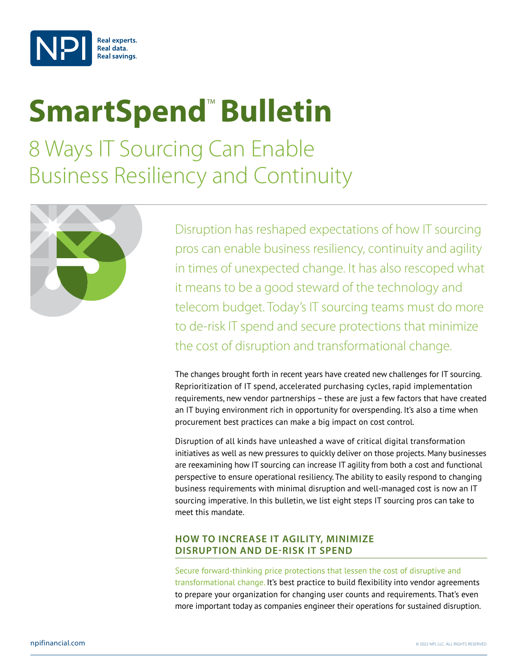

## **SmartSpend<sup>™</sup> Bulletin**

8 Ways IT Sourcing Can Enable Business Resiliency and Continuity



Disruption has reshaped expectations of how IT sourcing pros can enable business resiliency, continuity and agility in times of unexpected change. It has also rescoped what it means to be a good steward of the technology and telecom budget. Today's IT sourcing teams must do more to de-risk IT spend and secure protections that minimize the cost of disruption and transformational change.

The changes brought forth in recent years have created new challenges for IT sourcing. Reprioritization of IT spend, accelerated purchasing cycles, rapid implementation requirements, new vendor partnerships – these are just a few factors that have created an IT buying environment rich in opportunity for overspending. It's also a time when procurement best practices can make a big impact on cost control.

Disruption of all kinds have unleashed a wave of critical digital transformation initiatives as well as new pressures to quickly deliver on those projects. Many businesses are reexamining how IT sourcing can increase IT agility from both a cost and functional perspective to ensure operational resiliency. The ability to easily respond to changing business requirements with minimal disruption and well-managed cost is now an IT sourcing imperative. In this bulletin, we list eight steps IT sourcing pros can take to meet this mandate.

## **HOW TO INCREASE IT AGILITY, MINIMIZE DISRUPTION AND DE-RISK IT SPEND**

Secure forward-thinking price protections that lessen the cost of disruptive and transformational change. It's best practice to build flexibility into vendor agreements to prepare your organization for changing user counts and requirements. That's even more important today as companies engineer their operations for sustained disruption.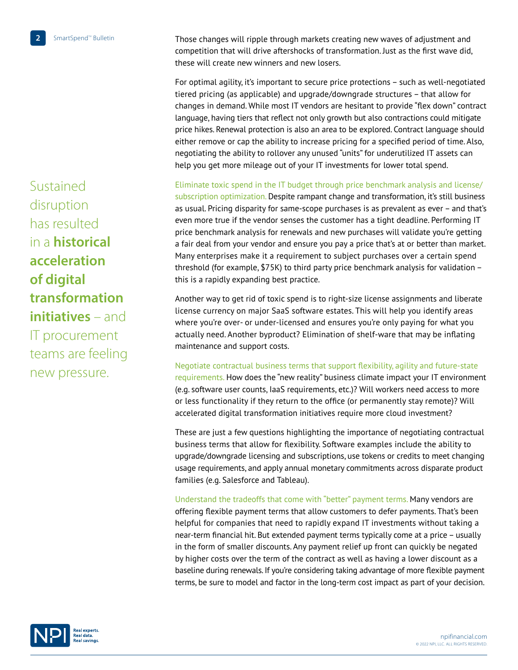Those changes will ripple through markets creating new waves of adjustment and competition that will drive aftershocks of transformation. Just as the first wave did, these will create new winners and new losers.

For optimal agility, it's important to secure price protections – such as well-negotiated tiered pricing (as applicable) and upgrade/downgrade structures – that allow for changes in demand. While most IT vendors are hesitant to provide "flex down" contract language, having tiers that reflect not only growth but also contractions could mitigate price hikes. Renewal protection is also an area to be explored. Contract language should either remove or cap the ability to increase pricing for a specified period of time. Also, negotiating the ability to rollover any unused "units" for underutilized IT assets can help you get more mileage out of your IT investments for lower total spend.

Eliminate toxic spend in the IT budget through price benchmark analysis and license/ subscription optimization. Despite rampant change and transformation, it's still business as usual. Pricing disparity for same-scope purchases is as prevalent as ever – and that's even more true if the vendor senses the customer has a tight deadline. Performing IT price benchmark analysis for renewals and new purchases will validate you're getting a fair deal from your vendor and ensure you pay a price that's at or better than market. Many enterprises make it a requirement to subject purchases over a certain spend threshold (for example, \$75K) to third party price benchmark analysis for validation – this is a rapidly expanding best practice.

Another way to get rid of toxic spend is to right-size license assignments and liberate license currency on major SaaS software estates. This will help you identify areas where you're over- or under-licensed and ensures you're only paying for what you actually need. Another byproduct? Elimination of shelf-ware that may be inflating maintenance and support costs.

Negotiate contractual business terms that support flexibility, agility and future-state requirements. How does the "new reality" business climate impact your IT environment (e.g. software user counts, IaaS requirements, etc.)? Will workers need access to more or less functionality if they return to the office (or permanently stay remote)? Will accelerated digital transformation initiatives require more cloud investment?

These are just a few questions highlighting the importance of negotiating contractual business terms that allow for flexibility. Software examples include the ability to upgrade/downgrade licensing and subscriptions, use tokens or credits to meet changing usage requirements, and apply annual monetary commitments across disparate product families (e.g. Salesforce and Tableau).

Understand the tradeoffs that come with "better" payment terms. Many vendors are offering flexible payment terms that allow customers to defer payments. That's been helpful for companies that need to rapidly expand IT investments without taking a near-term financial hit. But extended payment terms typically come at a price – usually in the form of smaller discounts. Any payment relief up front can quickly be negated by higher costs over the term of the contract as well as having a lower discount as a baseline during renewals. If you're considering taking advantage of more flexible payment terms, be sure to model and factor in the long-term cost impact as part of your decision.

Sustained disruption has resulted in a **historical acceleration of digital transformation initiatives** – and IT procurement teams are feeling new pressure.

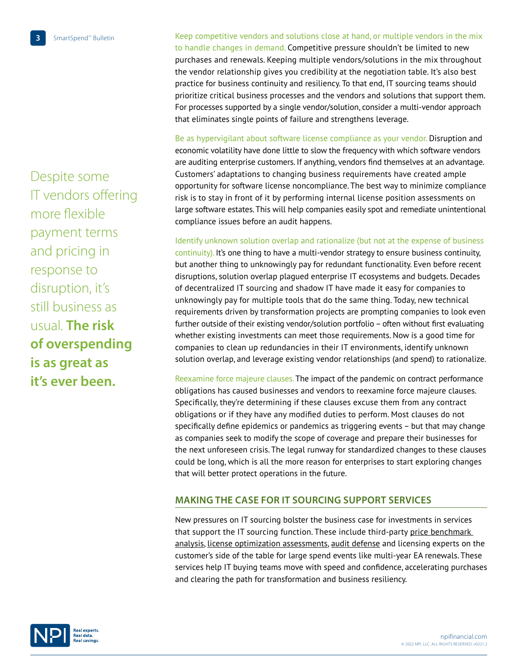Despite some IT vendors offering more flexible payment terms and pricing in response to disruption, it's still business as usual. **The risk of overspending is as great as it's ever been.** 

**3** SmartSpend<sup>™</sup> Bulletin Keep competitive vendors and solutions close at hand, or multiple vendors in the mix to handle changes in demand. Competitive pressure shouldn't be limited to new purchases and renewals. Keeping multiple vendors/solutions in the mix throughout the vendor relationship gives you credibility at the negotiation table. It's also best practice for business continuity and resiliency. To that end, IT sourcing teams should prioritize critical business processes and the vendors and solutions that support them. For processes supported by a single vendor/solution, consider a multi-vendor approach that eliminates single points of failure and strengthens leverage.

> Be as hypervigilant about software license compliance as your vendor. Disruption and economic volatility have done little to slow the frequency with which software vendors are auditing enterprise customers. If anything, vendors find themselves at an advantage. Customers' adaptations to changing business requirements have created ample opportunity for software license noncompliance. The best way to minimize compliance risk is to stay in front of it by performing internal license position assessments on large software estates. This will help companies easily spot and remediate unintentional compliance issues before an audit happens.

> Identify unknown solution overlap and rationalize (but not at the expense of business continuity). It's one thing to have a multi-vendor strategy to ensure business continuity, but another thing to unknowingly pay for redundant functionality. Even before recent disruptions, solution overlap plagued enterprise IT ecosystems and budgets. Decades of decentralized IT sourcing and shadow IT have made it easy for companies to unknowingly pay for multiple tools that do the same thing. Today, new technical requirements driven by transformation projects are prompting companies to look even further outside of their existing vendor/solution portfolio – often without first evaluating whether existing investments can meet those requirements. Now is a good time for companies to clean up redundancies in their IT environments, identify unknown solution overlap, and leverage existing vendor relationships (and spend) to rationalize.

> Reexamine force majeure clauses. The impact of the pandemic on contract performance obligations has caused businesses and vendors to reexamine force majeure clauses. Specifically, they're determining if these clauses excuse them from any contract obligations or if they have any modified duties to perform. Most clauses do not specifically define epidemics or pandemics as triggering events – but that may change as companies seek to modify the scope of coverage and prepare their businesses for the next unforeseen crisis. The legal runway for standardized changes to these clauses could be long, which is all the more reason for enterprises to start exploring changes that will better protect operations in the future.

## **MAKING THE CASE FOR IT SOURCING SUPPORT SERVICES**

New pressures on IT sourcing bolster the business case for investments in services that support the IT sourcing function. These include third-party [price benchmark](https://npifinancial.com/it-price-benchmark-analysis-and-negotiation-intel/)  [analysis](https://npifinancial.com/it-price-benchmark-analysis-and-negotiation-intel/), [license optimization assessments](https://npifinancial.com/enterprise-license-agreement-optimization-consulting/), [audit defense](https://npifinancial.com/software-license-audit-services/) and licensing experts on the customer's side of the table for large spend events like multi-year EA renewals. These services help IT buying teams move with speed and confidence, accelerating purchases and clearing the path for transformation and business resiliency.